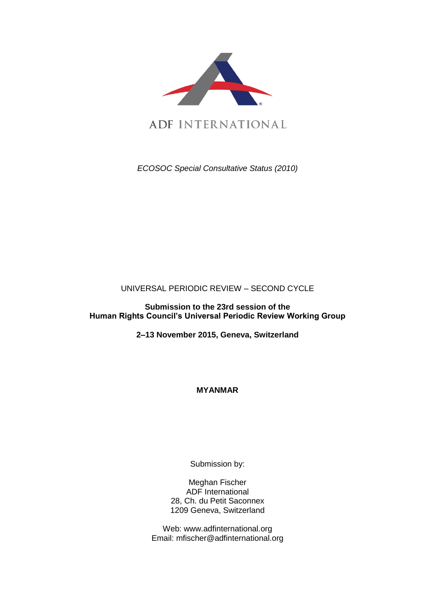

*ECOSOC Special Consultative Status (2010)*

UNIVERSAL PERIODIC REVIEW – SECOND CYCLE

**Submission to the 23rd session of the Human Rights Council's Universal Periodic Review Working Group** 

**2–13 November 2015, Geneva, Switzerland**

**MYANMAR**

Submission by:

Meghan Fischer ADF International 28, Ch. du Petit Saconnex 1209 Geneva, Switzerland

Web: www.adfinternational.org Email: mfischer@adfinternational.org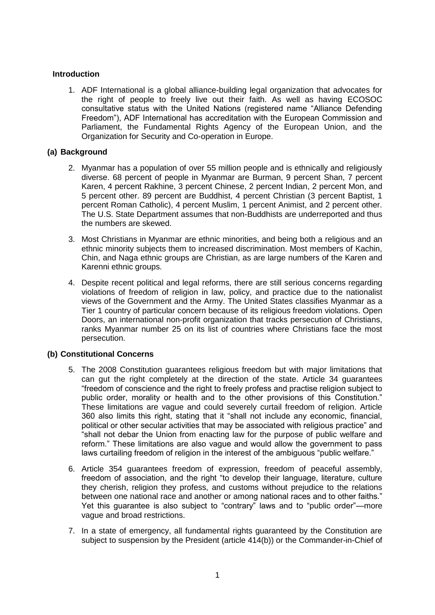## **Introduction**

1. ADF International is a global alliance-building legal organization that advocates for the right of people to freely live out their faith. As well as having ECOSOC consultative status with the United Nations (registered name "Alliance Defending Freedom"), ADF International has accreditation with the European Commission and Parliament, the Fundamental Rights Agency of the European Union, and the Organization for Security and Co-operation in Europe.

### **(a) Background**

- 2. Myanmar has a population of over 55 million people and is ethnically and religiously diverse. 68 percent of people in Myanmar are Burman, 9 percent Shan, 7 percent Karen, 4 percent Rakhine, 3 percent Chinese, 2 percent Indian, 2 percent Mon, and 5 percent other. 89 percent are Buddhist, 4 percent Christian (3 percent Baptist, 1 percent Roman Catholic), 4 percent Muslim, 1 percent Animist, and 2 percent other. The U.S. State Department assumes that non-Buddhists are underreported and thus the numbers are skewed.
- 3. Most Christians in Myanmar are ethnic minorities, and being both a religious and an ethnic minority subjects them to increased discrimination. Most members of Kachin, Chin, and Naga ethnic groups are Christian, as are large numbers of the Karen and Karenni ethnic groups.
- 4. Despite recent political and legal reforms, there are still serious concerns regarding violations of freedom of religion in law, policy, and practice due to the nationalist views of the Government and the Army. The United States classifies Myanmar as a Tier 1 country of particular concern because of its religious freedom violations. Open Doors, an international non-profit organization that tracks persecution of Christians, ranks Myanmar number 25 on its list of countries where Christians face the most persecution.

# **(b) Constitutional Concerns**

- 5. The 2008 Constitution guarantees religious freedom but with major limitations that can gut the right completely at the direction of the state. Article 34 guarantees "freedom of conscience and the right to freely profess and practise religion subject to public order, morality or health and to the other provisions of this Constitution." These limitations are vague and could severely curtail freedom of religion. Article 360 also limits this right, stating that it "shall not include any economic, financial, political or other secular activities that may be associated with religious practice" and "shall not debar the Union from enacting law for the purpose of public welfare and reform." These limitations are also vague and would allow the government to pass laws curtailing freedom of religion in the interest of the ambiguous "public welfare."
- 6. Article 354 guarantees freedom of expression, freedom of peaceful assembly, freedom of association, and the right "to develop their language, literature, culture they cherish, religion they profess, and customs without prejudice to the relations between one national race and another or among national races and to other faiths." Yet this guarantee is also subject to "contrary" laws and to "public order"—more vague and broad restrictions.
- 7. In a state of emergency, all fundamental rights guaranteed by the Constitution are subject to suspension by the President (article 414(b)) or the Commander-in-Chief of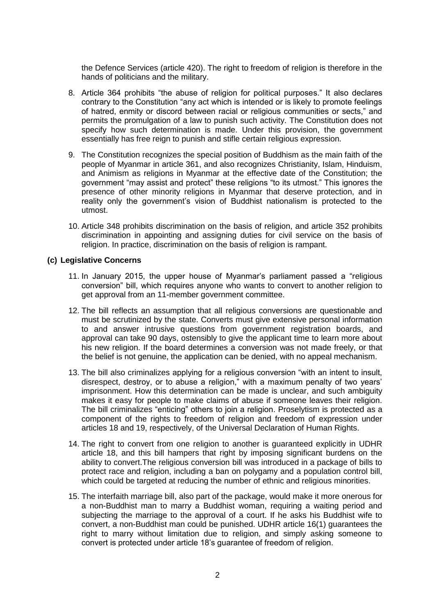the Defence Services (article 420). The right to freedom of religion is therefore in the hands of politicians and the military.

- 8. Article 364 prohibits "the abuse of religion for political purposes." It also declares contrary to the Constitution "any act which is intended or is likely to promote feelings of hatred, enmity or discord between racial or religious communities or sects," and permits the promulgation of a law to punish such activity. The Constitution does not specify how such determination is made. Under this provision, the government essentially has free reign to punish and stifle certain religious expression.
- 9. The Constitution recognizes the special position of Buddhism as the main faith of the people of Myanmar in article 361, and also recognizes Christianity, Islam, Hinduism, and Animism as religions in Myanmar at the effective date of the Constitution; the government "may assist and protect" these religions "to its utmost." This ignores the presence of other minority religions in Myanmar that deserve protection, and in reality only the government's vision of Buddhist nationalism is protected to the utmost.
- 10. Article 348 prohibits discrimination on the basis of religion, and article 352 prohibits discrimination in appointing and assigning duties for civil service on the basis of religion. In practice, discrimination on the basis of religion is rampant.

#### **(c) Legislative Concerns**

- 11. In January 2015, the upper house of Myanmar's parliament passed a "religious conversion" bill, which requires anyone who wants to convert to another religion to get approval from an 11-member government committee.
- 12. The bill reflects an assumption that all religious conversions are questionable and must be scrutinized by the state. Converts must give extensive personal information to and answer intrusive questions from government registration boards, and approval can take 90 days, ostensibly to give the applicant time to learn more about his new religion. If the board determines a conversion was not made freely, or that the belief is not genuine, the application can be denied, with no appeal mechanism.
- 13. The bill also criminalizes applying for a religious conversion "with an intent to insult, disrespect, destroy, or to abuse a religion," with a maximum penalty of two years' imprisonment. How this determination can be made is unclear, and such ambiguity makes it easy for people to make claims of abuse if someone leaves their religion. The bill criminalizes "enticing" others to join a religion. Proselytism is protected as a component of the rights to freedom of religion and freedom of expression under articles 18 and 19, respectively, of the Universal Declaration of Human Rights.
- 14. The right to convert from one religion to another is guaranteed explicitly in UDHR article 18, and this bill hampers that right by imposing significant burdens on the ability to convert.The religious conversion bill was introduced in a package of bills to protect race and religion, including a ban on polygamy and a population control bill, which could be targeted at reducing the number of ethnic and religious minorities.
- 15. The interfaith marriage bill, also part of the package, would make it more onerous for a non-Buddhist man to marry a Buddhist woman, requiring a waiting period and subjecting the marriage to the approval of a court. If he asks his Buddhist wife to convert, a non-Buddhist man could be punished. UDHR article 16(1) guarantees the right to marry without limitation due to religion, and simply asking someone to convert is protected under article 18's guarantee of freedom of religion.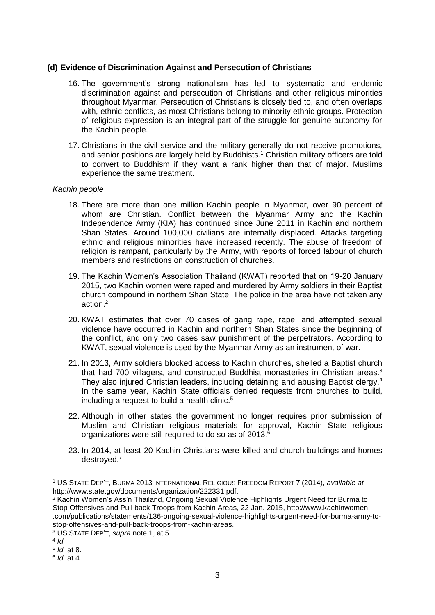### **(d) Evidence of Discrimination Against and Persecution of Christians**

- 16. The government's strong nationalism has led to systematic and endemic discrimination against and persecution of Christians and other religious minorities throughout Myanmar. Persecution of Christians is closely tied to, and often overlaps with, ethnic conflicts, as most Christians belong to minority ethnic groups. Protection of religious expression is an integral part of the struggle for genuine autonomy for the Kachin people.
- 17. Christians in the civil service and the military generally do not receive promotions, and senior positions are largely held by Buddhists.<sup>1</sup> Christian military officers are told to convert to Buddhism if they want a rank higher than that of major. Muslims experience the same treatment.

### *Kachin people*

- 18. There are more than one million Kachin people in Myanmar, over 90 percent of whom are Christian. Conflict between the Myanmar Army and the Kachin Independence Army (KIA) has continued since June 2011 in Kachin and northern Shan States. Around 100,000 civilians are internally displaced. Attacks targeting ethnic and religious minorities have increased recently. The abuse of freedom of religion is rampant, particularly by the Army, with reports of forced labour of church members and restrictions on construction of churches.
- 19. The Kachin Women's Association Thailand (KWAT) reported that on 19-20 January 2015, two Kachin women were raped and murdered by Army soldiers in their Baptist church compound in northern Shan State. The police in the area have not taken any action.<sup>2</sup>
- 20. KWAT estimates that over 70 cases of gang rape, rape, and attempted sexual violence have occurred in Kachin and northern Shan States since the beginning of the conflict, and only two cases saw punishment of the perpetrators. According to KWAT, sexual violence is used by the Myanmar Army as an instrument of war.
- 21. In 2013, Army soldiers blocked access to Kachin churches, shelled a Baptist church that had 700 villagers, and constructed Buddhist monasteries in Christian areas.<sup>3</sup> They also injured Christian leaders, including detaining and abusing Baptist clergy.<sup>4</sup> In the same year, Kachin State officials denied requests from churches to build, including a request to build a health clinic.<sup>5</sup>
- 22. Although in other states the government no longer requires prior submission of Muslim and Christian religious materials for approval, Kachin State religious organizations were still required to do so as of 2013.<sup>6</sup>
- 23. In 2014, at least 20 Kachin Christians were killed and church buildings and homes destroved.<sup>7</sup>

1

<sup>1</sup> US STATE DEP'T, BURMA 2013 INTERNATIONAL RELIGIOUS FREEDOM REPORT 7 (2014), *available at* http://www.state.gov/documents/organization/222331.pdf.

<sup>&</sup>lt;sup>2</sup> Kachin Women's Ass'n Thailand, Ongoing Sexual Violence Highlights Urgent Need for Burma to Stop Offensives and Pull back Troops from Kachin Areas, 22 Jan. 2015, http://www.kachinwomen .com/publications/statements/136-ongoing-sexual-violence-highlights-urgent-need-for-burma-army-tostop-offensives-and-pull-back-troops-from-kachin-areas.

<sup>3</sup> US STATE DEP'T, *supra* note 1, at 5.

<sup>4</sup> *Id.*

<sup>5</sup> *Id.* at 8.

<sup>6</sup> *Id.* at 4.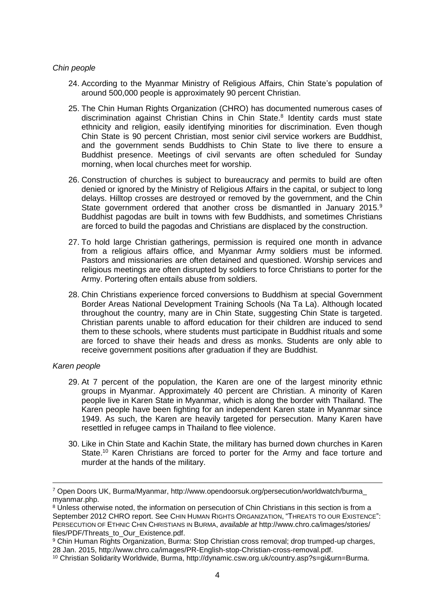#### *Chin people*

- 24. According to the Myanmar Ministry of Religious Affairs, Chin State's population of around 500,000 people is approximately 90 percent Christian.
- 25. The Chin Human Rights Organization (CHRO) has documented numerous cases of discrimination against Christian Chins in Chin State.<sup>8</sup> Identity cards must state ethnicity and religion, easily identifying minorities for discrimination. Even though Chin State is 90 percent Christian, most senior civil service workers are Buddhist, and the government sends Buddhists to Chin State to live there to ensure a Buddhist presence. Meetings of civil servants are often scheduled for Sunday morning, when local churches meet for worship.
- 26. Construction of churches is subject to bureaucracy and permits to build are often denied or ignored by the Ministry of Religious Affairs in the capital, or subject to long delays. Hilltop crosses are destroyed or removed by the government, and the Chin State government ordered that another cross be dismantled in January 2015.<sup>9</sup> Buddhist pagodas are built in towns with few Buddhists, and sometimes Christians are forced to build the pagodas and Christians are displaced by the construction.
- 27. To hold large Christian gatherings, permission is required one month in advance from a religious affairs office, and Myanmar Army soldiers must be informed. Pastors and missionaries are often detained and questioned. Worship services and religious meetings are often disrupted by soldiers to force Christians to porter for the Army. Portering often entails abuse from soldiers.
- 28. Chin Christians experience forced conversions to Buddhism at special Government Border Areas National Development Training Schools (Na Ta La). Although located throughout the country, many are in Chin State, suggesting Chin State is targeted. Christian parents unable to afford education for their children are induced to send them to these schools, where students must participate in Buddhist rituals and some are forced to shave their heads and dress as monks. Students are only able to receive government positions after graduation if they are Buddhist.

#### *Karen people*

1

- 29. At 7 percent of the population, the Karen are one of the largest minority ethnic groups in Myanmar. Approximately 40 percent are Christian. A minority of Karen people live in Karen State in Myanmar, which is along the border with Thailand. The Karen people have been fighting for an independent Karen state in Myanmar since 1949. As such, the Karen are heavily targeted for persecution. Many Karen have resettled in refugee camps in Thailand to flee violence.
- 30. Like in Chin State and Kachin State, the military has burned down churches in Karen State.<sup>10</sup> Karen Christians are forced to porter for the Army and face torture and murder at the hands of the military.

<sup>7</sup> Open Doors UK, Burma/Myanmar, http://www.opendoorsuk.org/persecution/worldwatch/burma\_ myanmar.php.

<sup>&</sup>lt;sup>8</sup> Unless otherwise noted, the information on persecution of Chin Christians in this section is from a September 2012 CHRO report. See CHIN HUMAN RIGHTS ORGANIZATION, "THREATS TO OUR EXISTENCE": PERSECUTION OF ETHNIC CHIN CHRISTIANS IN BURMA, *available at* http://www.chro.ca/images/stories/ files/PDF/Threats\_to\_Our\_Existence.pdf.

<sup>9</sup> Chin Human Rights Organization, Burma: Stop Christian cross removal: drop trumped-up charges. 28 Jan. 2015, http://www.chro.ca/images/PR-English-stop-Christian-cross-removal.pdf.

<sup>10</sup> Christian Solidarity Worldwide, Burma, http://dynamic.csw.org.uk/country.asp?s=gi&urn=Burma.